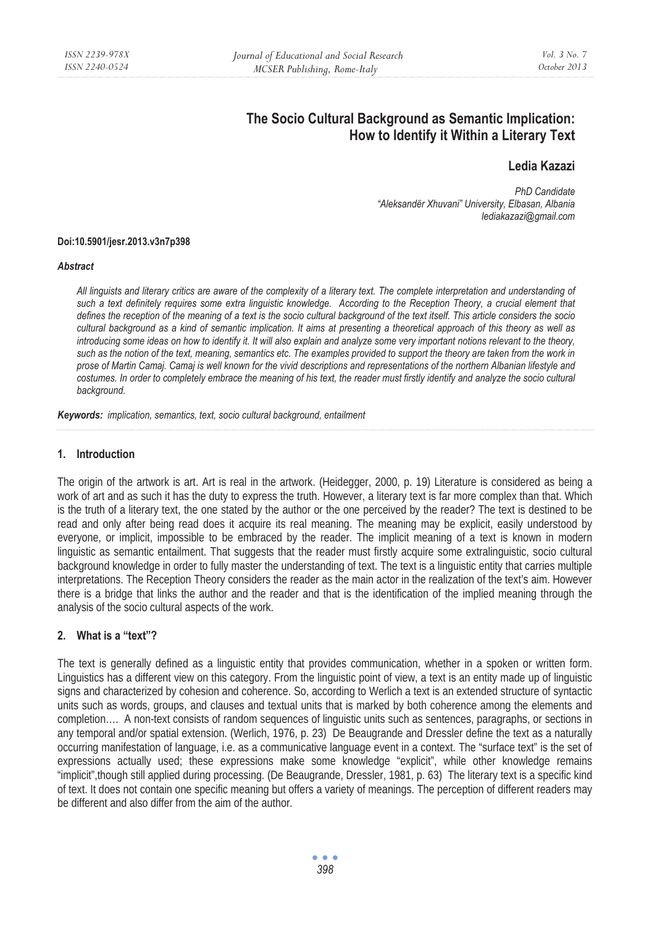# **The Socio Cultural Background as Semantic Implication: How to Identify it Within a Literary Text**

# **Ledia Kazazi**

*PhD Candidate "Aleksandër Xhuvani" University, Elbasan, Albania lediakazazi@gmail.com* 

#### **Doi:10.5901/jesr.2013.v3n7p398**

#### *Abstract*

*All linguists and literary critics are aware of the complexity of a literary text. The complete interpretation and understanding of*  such a text definitely requires some extra linguistic knowledge. According to the Reception Theory, a crucial element that *defines the reception of the meaning of a text is the socio cultural background of the text itself. This article considers the socio cultural background as a kind of semantic implication. It aims at presenting a theoretical approach of this theory as well as introducing some ideas on how to identify it. It will also explain and analyze some very important notions relevant to the theory, such as the notion of the text, meaning, semantics etc. The examples provided to support the theory are taken from the work in prose of Martin Camaj. Camaj is well known for the vivid descriptions and representations of the northern Albanian lifestyle and costumes. In order to completely embrace the meaning of his text, the reader must firstly identify and analyze the socio cultural background.* 

*Keywords: implication, semantics, text, socio cultural background, entailment* 

#### **1. Introduction**

The origin of the artwork is art. Art is real in the artwork. (Heidegger, 2000, p. 19) Literature is considered as being a work of art and as such it has the duty to express the truth. However, a literary text is far more complex than that. Which is the truth of a literary text, the one stated by the author or the one perceived by the reader? The text is destined to be read and only after being read does it acquire its real meaning. The meaning may be explicit, easily understood by everyone, or implicit, impossible to be embraced by the reader. The implicit meaning of a text is known in modern linguistic as semantic entailment. That suggests that the reader must firstly acquire some extralinguistic, socio cultural background knowledge in order to fully master the understanding of text. The text is a linguistic entity that carries multiple interpretations. The Reception Theory considers the reader as the main actor in the realization of the text's aim. However there is a bridge that links the author and the reader and that is the identification of the implied meaning through the analysis of the socio cultural aspects of the work.

## **2. What is a "text"?**

The text is generally defined as a linguistic entity that provides communication, whether in a spoken or written form. Linguistics has a different view on this category. From the linguistic point of view, a text is an entity made up of linguistic signs and characterized by cohesion and coherence. So, according to Werlich a text is an extended structure of syntactic units such as words, groups, and clauses and textual units that is marked by both coherence among the elements and completion.... A non-text consists of random sequences of linguistic units such as sentences, paragraphs, or sections in any temporal and/or spatial extension. (Werlich, 1976, p. 23) De Beaugrande and Dressler define the text as a naturally occurring manifestation of language, i.e. as a communicative language event in a context. The "surface text" is the set of expressions actually used; these expressions make some knowledge "explicit", while other knowledge remains "implicit",though still applied during processing. (De Beaugrande, Dressler, 1981, p. 63) The literary text is a specific kind of text. It does not contain one specific meaning but offers a variety of meanings. The perception of different readers may be different and also differ from the aim of the author.

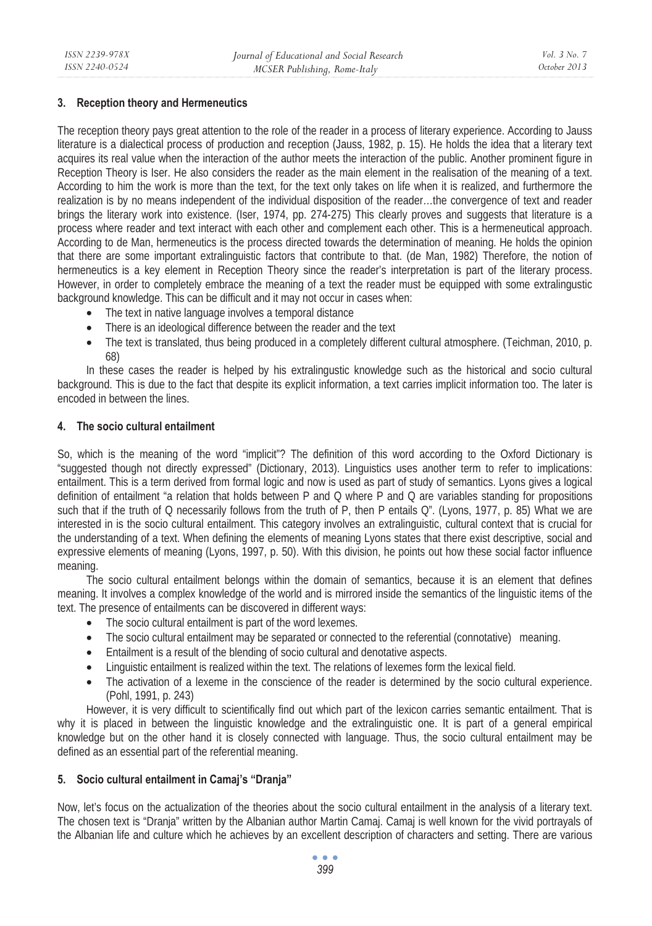### **3. Reception theory and Hermeneutics**

The reception theory pays great attention to the role of the reader in a process of literary experience. According to Jauss literature is a dialectical process of production and reception (Jauss, 1982, p. 15). He holds the idea that a literary text acquires its real value when the interaction of the author meets the interaction of the public. Another prominent figure in Reception Theory is Iser. He also considers the reader as the main element in the realisation of the meaning of a text. According to him the work is more than the text, for the text only takes on life when it is realized, and furthermore the realization is by no means independent of the individual disposition of the reader…the convergence of text and reader brings the literary work into existence. (Iser, 1974, pp. 274-275) This clearly proves and suggests that literature is a process where reader and text interact with each other and complement each other. This is a hermeneutical approach. According to de Man, hermeneutics is the process directed towards the determination of meaning. He holds the opinion that there are some important extralinguistic factors that contribute to that. (de Man, 1982) Therefore, the notion of hermeneutics is a key element in Reception Theory since the reader's interpretation is part of the literary process. However, in order to completely embrace the meaning of a text the reader must be equipped with some extralingustic background knowledge. This can be difficult and it may not occur in cases when:

- The text in native language involves a temporal distance
- There is an ideological difference between the reader and the text
- The text is translated, thus being produced in a completely different cultural atmosphere. (Teichman, 2010, p. 68)

In these cases the reader is helped by his extralingustic knowledge such as the historical and socio cultural background. This is due to the fact that despite its explicit information, a text carries implicit information too. The later is encoded in between the lines.

#### **4. The socio cultural entailment**

So, which is the meaning of the word "implicit"? The definition of this word according to the Oxford Dictionary is "suggested though not directly expressed" (Dictionary, 2013). Linguistics uses another term to refer to implications: entailment. This is a term derived from formal logic and now is used as part of study of semantics. Lyons gives a logical definition of entailment "a relation that holds between P and Q where P and Q are variables standing for propositions such that if the truth of Q necessarily follows from the truth of P, then P entails  $Q''$ . (Lyons, 1977, p. 85) What we are interested in is the socio cultural entailment. This category involves an extralinguistic, cultural context that is crucial for the understanding of a text. When defining the elements of meaning Lyons states that there exist descriptive, social and expressive elements of meaning (Lyons, 1997, p. 50). With this division, he points out how these social factor influence meaning.

The socio cultural entailment belongs within the domain of semantics, because it is an element that defines meaning. It involves a complex knowledge of the world and is mirrored inside the semantics of the linguistic items of the text. The presence of entailments can be discovered in different ways:

- The socio cultural entailment is part of the word lexemes.
- The socio cultural entailment may be separated or connected to the referential (connotative) meaning.
- Entailment is a result of the blending of socio cultural and denotative aspects.
- Linguistic entailment is realized within the text. The relations of lexemes form the lexical field.
- The activation of a lexeme in the conscience of the reader is determined by the socio cultural experience. (Pohl, 1991, p. 243)

However, it is very difficult to scientifically find out which part of the lexicon carries semantic entailment. That is why it is placed in between the linguistic knowledge and the extralinguistic one. It is part of a general empirical knowledge but on the other hand it is closely connected with language. Thus, the socio cultural entailment may be defined as an essential part of the referential meaning.

## **5. Socio cultural entailment in Camaj's "Dranja"**

Now, let's focus on the actualization of the theories about the socio cultural entailment in the analysis of a literary text. The chosen text is "Dranja" written by the Albanian author Martin Camaj. Camaj is well known for the vivid portrayals of the Albanian life and culture which he achieves by an excellent description of characters and setting. There are various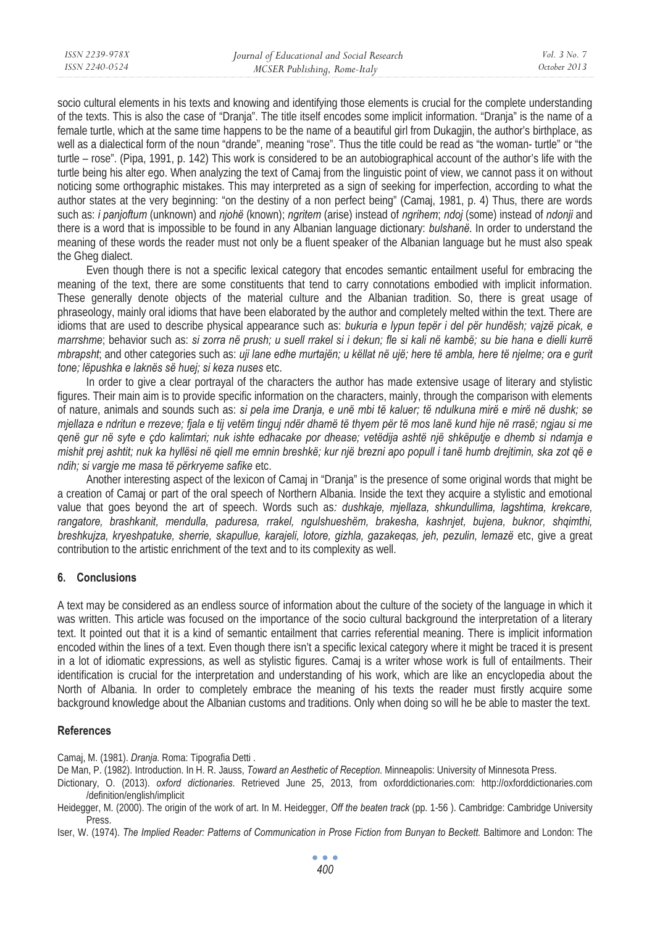| ISSN 2239-978X | Journal of Educational and Social Research | Vol. 3 No. 7 |
|----------------|--------------------------------------------|--------------|
| ISSN 2240-0524 | MCSER Publishing, Rome-Italy               | October 2013 |
|                |                                            |              |

socio cultural elements in his texts and knowing and identifying those elements is crucial for the complete understanding of the texts. This is also the case of "Dranja". The title itself encodes some implicit information. "Dranja" is the name of a female turtle, which at the same time happens to be the name of a beautiful girl from Dukagjin, the author's birthplace, as well as a dialectical form of the noun "drande", meaning "rose". Thus the title could be read as "the woman- turtle" or "the turtle – rose". (Pipa, 1991, p. 142) This work is considered to be an autobiographical account of the author's life with the turtle being his alter ego. When analyzing the text of Camaj from the linguistic point of view, we cannot pass it on without noticing some orthographic mistakes. This may interpreted as a sign of seeking for imperfection, according to what the author states at the very beginning: "on the destiny of a non perfect being" (Camaj, 1981, p. 4) Thus, there are words such as: *i panjoftum* (unknown) and *njohë* (known); *ngritem* (arise) instead of *ngrihem*; *ndoj* (some) instead of *ndonji* and there is a word that is impossible to be found in any Albanian language dictionary: *bulshanë*. In order to understand the meaning of these words the reader must not only be a fluent speaker of the Albanian language but he must also speak the Gheg dialect.

Even though there is not a specific lexical category that encodes semantic entailment useful for embracing the meaning of the text, there are some constituents that tend to carry connotations embodied with implicit information. These generally denote objects of the material culture and the Albanian tradition. So, there is great usage of phraseology, mainly oral idioms that have been elaborated by the author and completely melted within the text. There are idioms that are used to describe physical appearance such as: *bukuria e lypun tepër i del për hundësh; vajzë picak, e marrshme*; behavior such as: *si zorra në prush; u suell rrakel si i dekun; fle si kali në kambë; su bie hana e dielli kurrë mbrapsht*; and other categories such as: *uji lane edhe murtajën; u këllat në ujë; here të ambla, here të njelme; ora e gurit tone; lëpushka e laknës së huej; si keza nuses* etc.

In order to give a clear portrayal of the characters the author has made extensive usage of literary and stylistic figures. Their main aim is to provide specific information on the characters, mainly, through the comparison with elements of nature, animals and sounds such as: *si pela ime Dranja, e unë mbi të kaluer; të ndulkuna mirë e mirë në dushk; se mjellaza e ndritun e rrezeve; fjala e tij vetëm tinguj ndër dhamë të thyem për të mos lanë kund hije në rrasë; ngjau si me qenë gur në syte e çdo kalimtari; nuk ishte edhacake por dhease; vetëdija ashtë një shkëputje e dhemb si ndamja e mishit prej ashtit; nuk ka hyllësi në qiell me emnin breshkë; kur një brezni apo popull i tanë humb drejtimin, ska zot që e ndih; si vargje me masa të përkryeme safike* etc.

Another interesting aspect of the lexicon of Camaj in "Dranja" is the presence of some original words that might be a creation of Camaj or part of the oral speech of Northern Albania. Inside the text they acquire a stylistic and emotional value that goes beyond the art of speech. Words such as*: dushkaje, mjellaza, shkundullima, lagshtima, krekcare, rangatore, brashkanit, mendulla, paduresa, rrakel, ngulshueshëm, brakesha, kashnjet, bujena, buknor, shqimthi, breshkujza, kryeshpatuke, sherrie, skapullue, karajeli, lotore, gizhla, gazakeqas, jeh, pezulin, lemazë* etc, give a great contribution to the artistic enrichment of the text and to its complexity as well.

#### **6. Conclusions**

A text may be considered as an endless source of information about the culture of the society of the language in which it was written. This article was focused on the importance of the socio cultural background the interpretation of a literary text. It pointed out that it is a kind of semantic entailment that carries referential meaning. There is implicit information encoded within the lines of a text. Even though there isn't a specific lexical category where it might be traced it is present in a lot of idiomatic expressions, as well as stylistic figures. Camaj is a writer whose work is full of entailments. Their identification is crucial for the interpretation and understanding of his work, which are like an encyclopedia about the North of Albania. In order to completely embrace the meaning of his texts the reader must firstly acquire some background knowledge about the Albanian customs and traditions. Only when doing so will he be able to master the text.

#### **References**

Camaj, M. (1981). *Dranja.* Roma: Tipografia Detti .

De Man, P. (1982). Introduction. In H. R. Jauss, *Toward an Aesthetic of Reception.* Minneapolis: University of Minnesota Press.

Dictionary, O. (2013). *oxford dictionaries*. Retrieved June 25, 2013, from oxforddictionaries.com: http://oxforddictionaries.com /definition/english/implicit

Heidegger, M. (2000). The origin of the work of art. In M. Heidegger, *Off the beaten track* (pp. 1-56 ). Cambridge: Cambridge University Press.

Iser, W. (1974). *The Implied Reader: Patterns of Communication in Prose Fiction from Bunyan to Beckett.* Baltimore and London: The

 $\bullet$   $\bullet$   $\bullet$ *400*